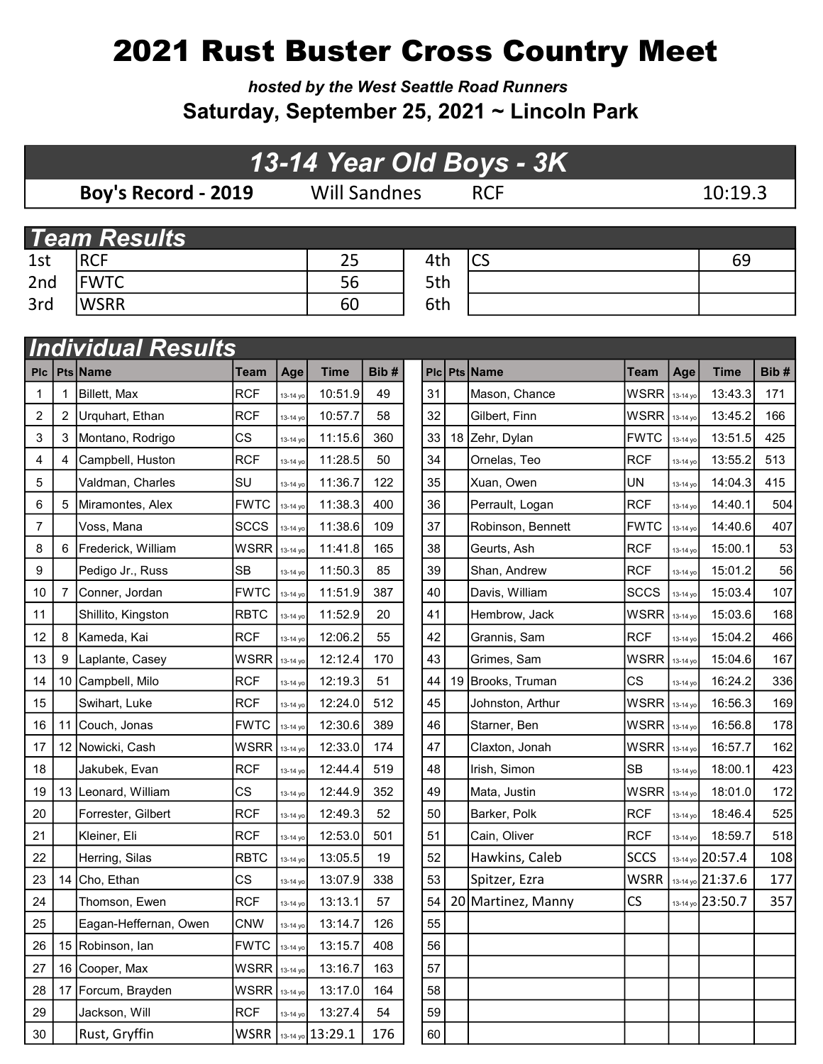# 2021 Rust Buster Cross Country Meet

hosted by the West Seattle Road Runners Saturday, September 25, 2021 ~ Lincoln Park

### 13-14 Year Old Boys - 3K

Boy's Record - 2019 Will Sandnes RCF 10:19.3

|     | <b>Team Results</b> |    |     |     |    |  |  |  |  |  |  |  |
|-----|---------------------|----|-----|-----|----|--|--|--|--|--|--|--|
| 1st | RCF                 |    | 4th | ICS | 69 |  |  |  |  |  |  |  |
| 2nd | <b>FWTC</b>         | 56 | 5th |     |    |  |  |  |  |  |  |  |
| 3rd | <b>WSRR</b>         | 60 | 6th |     |    |  |  |  |  |  |  |  |

|                  | <b>Individual Results</b> |                       |             |          |                      |      |  |    |  |                    |             |          |                  |      |
|------------------|---------------------------|-----------------------|-------------|----------|----------------------|------|--|----|--|--------------------|-------------|----------|------------------|------|
| <b>PIc</b>       |                           | Pts Name              | Team        | Age      | <b>Time</b>          | Bib# |  |    |  | Plc Pts Name       | Team        | Age      | <b>Time</b>      | Bib# |
| 1                |                           | Billett, Max          | <b>RCF</b>  | 13-14 yo | 10:51.9              | 49   |  | 31 |  | Mason, Chance      | <b>WSRR</b> | 13-14 yo | 13:43.3          | 171  |
| $\boldsymbol{2}$ | $\overline{2}$            | Urquhart, Ethan       | <b>RCF</b>  | 13-14 yc | 10:57.7              | 58   |  | 32 |  | Gilbert, Finn      | <b>WSRR</b> | 13-14 yo | 13:45.2          | 166  |
| 3                | 3                         | Montano, Rodrigo      | <b>CS</b>   | 13-14 yo | 11:15.6              | 360  |  | 33 |  | 18 Zehr, Dylan     | <b>FWTC</b> | 13-14 yo | 13:51.5          | 425  |
| 4                | 4                         | Campbell, Huston      | <b>RCF</b>  | 13-14 yc | 11:28.5              | 50   |  | 34 |  | Ornelas, Teo       | <b>RCF</b>  | 13-14 yo | 13:55.2          | 513  |
| 5                |                           | Valdman, Charles      | SU          | 13-14 yc | 11:36.7              | 122  |  | 35 |  | Xuan, Owen         | <b>UN</b>   | 13-14 yo | 14:04.3          | 415  |
| 6                | 5                         | Miramontes, Alex      | <b>FWTC</b> | 13-14 yc | 11:38.3              | 400  |  | 36 |  | Perrault, Logan    | <b>RCF</b>  | 13-14 yo | 14:40.1          | 504  |
| 7                |                           | Voss, Mana            | <b>SCCS</b> | 13-14 yo | 11:38.6              | 109  |  | 37 |  | Robinson, Bennett  | <b>FWTC</b> | 13-14 yo | 14:40.6          | 407  |
| 8                | 6                         | Frederick, William    | <b>WSRR</b> | 13-14 yo | 11:41.8              | 165  |  | 38 |  | Geurts, Ash        | <b>RCF</b>  | 13-14 yc | 15:00.1          | 53   |
| 9                |                           | Pedigo Jr., Russ      | <b>SB</b>   | 13-14 yo | 11:50.3              | 85   |  | 39 |  | Shan, Andrew       | <b>RCF</b>  | 13-14 yo | 15:01.2          | 56   |
| 10               | 7                         | Conner, Jordan        | <b>FWTC</b> | 13-14 yo | 11:51.9              | 387  |  | 40 |  | Davis, William     | <b>SCCS</b> | 13-14 yo | 15:03.4          | 107  |
| 11               |                           | Shillito, Kingston    | <b>RBTC</b> | 13-14 yo | 11:52.9              | 20   |  | 41 |  | Hembrow, Jack      | <b>WSRR</b> | 13-14 yo | 15:03.6          | 168  |
| 12               | 8                         | Kameda, Kai           | <b>RCF</b>  | 13-14 yo | 12:06.2              | 55   |  | 42 |  | Grannis, Sam       | <b>RCF</b>  | 13-14 yo | 15:04.2          | 466  |
| 13               | 9                         | Laplante, Casey       | <b>WSRR</b> | 13-14 yc | 12:12.4              | 170  |  | 43 |  | Grimes, Sam        | <b>WSRR</b> | 13-14 yo | 15:04.6          | 167  |
| 14               |                           | 10 Campbell, Milo     | <b>RCF</b>  | 13-14 yo | 12:19.3              | 51   |  | 44 |  | 19 Brooks, Truman  | <b>CS</b>   | 13-14 yo | 16:24.2          | 336  |
| 15               |                           | Swihart, Luke         | <b>RCF</b>  | 13-14 yo | 12:24.0              | 512  |  | 45 |  | Johnston, Arthur   | <b>WSRR</b> | 13-14 yo | 16:56.3          | 169  |
| 16               | 11                        | Couch, Jonas          | <b>FWTC</b> | 13-14 yo | 12:30.6              | 389  |  | 46 |  | Starner, Ben       | <b>WSRR</b> | 13-14 yo | 16:56.8          | 178  |
| 17               |                           | 12 Nowicki, Cash      | <b>WSRR</b> | 13-14 yo | 12:33.0              | 174  |  | 47 |  | Claxton, Jonah     | <b>WSRR</b> | 13-14 yo | 16:57.7          | 162  |
| 18               |                           | Jakubek, Evan         | <b>RCF</b>  | 13-14 yo | 12:44.4              | 519  |  | 48 |  | Irish, Simon       | <b>SB</b>   | 13-14 yo | 18:00.1          | 423  |
| 19               |                           | 13 Leonard, William   | <b>CS</b>   | 13-14 yo | 12:44.9              | 352  |  | 49 |  | Mata, Justin       | <b>WSRR</b> | 13-14 yo | 18:01.0          | 172  |
| 20               |                           | Forrester, Gilbert    | <b>RCF</b>  | 13-14 yo | 12:49.3              | 52   |  | 50 |  | Barker, Polk       | <b>RCF</b>  | 13-14 yo | 18:46.4          | 525  |
| 21               |                           | Kleiner, Eli          | <b>RCF</b>  | 13-14 yo | 12:53.0              | 501  |  | 51 |  | Cain, Oliver       | <b>RCF</b>  | 13-14 yo | 18:59.7          | 518  |
| 22               |                           | Herring, Silas        | <b>RBTC</b> | 13-14 yo | 13:05.5              | 19   |  | 52 |  | Hawkins, Caleb     | <b>SCCS</b> |          | 13-14 yo 20:57.4 | 108  |
| 23               | 14                        | Cho, Ethan            | <b>CS</b>   | 13-14 yc | 13:07.9              | 338  |  | 53 |  | Spitzer, Ezra      | <b>WSRR</b> |          | 13-14 yo 21:37.6 | 177  |
| 24               |                           | Thomson, Ewen         | <b>RCF</b>  | 13-14 yo | 13:13.1              | 57   |  | 54 |  | 20 Martinez, Manny | CS          |          | 13-14 yo 23:50.7 | 357  |
| 25               |                           | Eagan-Heffernan, Owen | <b>CNW</b>  | 13-14 yo | 13:14.7              | 126  |  | 55 |  |                    |             |          |                  |      |
| 26               |                           | 15 Robinson, Ian      | <b>FWTC</b> | 13-14 yo | 13:15.7              | 408  |  | 56 |  |                    |             |          |                  |      |
| 27               |                           | 16 Cooper, Max        | <b>WSRR</b> | 13-14 yo | 13:16.7              | 163  |  | 57 |  |                    |             |          |                  |      |
| 28               | 17                        | Forcum, Brayden       | <b>WSRR</b> | 13-14 yo | 13:17.0              | 164  |  | 58 |  |                    |             |          |                  |      |
| 29               |                           | Jackson, Will         | <b>RCF</b>  | 13-14 yo | 13:27.4              | 54   |  | 59 |  |                    |             |          |                  |      |
| 30               |                           | Rust, Gryffin         |             |          | WSRR 3-14 yo 13:29.1 | 176  |  | 60 |  |                    |             |          |                  |      |